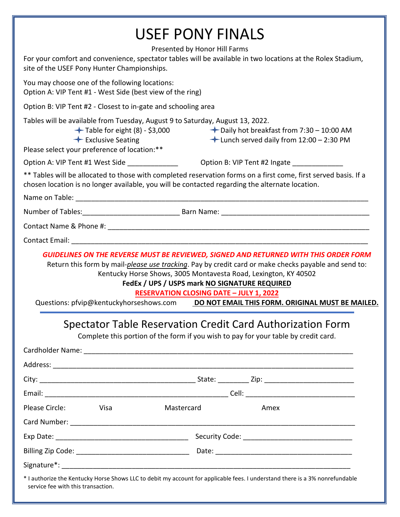| <b>USEF PONY FINALS</b>                                                                                                                                                                                            |                                                                                                                                                                                                                                                                                                                                                                           |
|--------------------------------------------------------------------------------------------------------------------------------------------------------------------------------------------------------------------|---------------------------------------------------------------------------------------------------------------------------------------------------------------------------------------------------------------------------------------------------------------------------------------------------------------------------------------------------------------------------|
| Presented by Honor Hill Farms<br>For your comfort and convenience, spectator tables will be available in two locations at the Rolex Stadium,<br>site of the USEF Pony Hunter Championships.                        |                                                                                                                                                                                                                                                                                                                                                                           |
| You may choose one of the following locations:<br>Option A: VIP Tent #1 - West Side (best view of the ring)                                                                                                        |                                                                                                                                                                                                                                                                                                                                                                           |
| Option B: VIP Tent #2 - Closest to in-gate and schooling area                                                                                                                                                      |                                                                                                                                                                                                                                                                                                                                                                           |
| Tables will be available from Tuesday, August 9 to Saturday, August 13, 2022.<br>$\leftarrow$ Exclusive Seating<br>Please select your preference of location:**                                                    | $+$ Table for eight (8) - \$3,000 $+$ Daily hot breakfast from 7:30 - 10:00 AM<br>$\bigstar$ Lunch served daily from 12:00 - 2:30 PM                                                                                                                                                                                                                                      |
|                                                                                                                                                                                                                    |                                                                                                                                                                                                                                                                                                                                                                           |
| ** Tables will be allocated to those with completed reservation forms on a first come, first served basis. If a<br>chosen location is no longer available, you will be contacted regarding the alternate location. |                                                                                                                                                                                                                                                                                                                                                                           |
|                                                                                                                                                                                                                    |                                                                                                                                                                                                                                                                                                                                                                           |
|                                                                                                                                                                                                                    |                                                                                                                                                                                                                                                                                                                                                                           |
|                                                                                                                                                                                                                    |                                                                                                                                                                                                                                                                                                                                                                           |
|                                                                                                                                                                                                                    |                                                                                                                                                                                                                                                                                                                                                                           |
|                                                                                                                                                                                                                    | <b>GUIDELINES ON THE REVERSE MUST BE REVIEWED, SIGNED AND RETURNED WITH THIS ORDER FORM</b><br>Return this form by mail-please use tracking. Pay by credit card or make checks payable and send to:<br>Kentucky Horse Shows, 3005 Montavesta Road, Lexington, KY 40502<br>FedEx / UPS / USPS mark NO SIGNATURE REQUIRED<br><b>RESERVATION CLOSING DATE - JULY 1, 2022</b> |
|                                                                                                                                                                                                                    | Questions: pfvip@kentuckyhorseshows.com DO NOT EMAIL THIS FORM. ORIGINAL MUST BE MAILED.                                                                                                                                                                                                                                                                                  |
| Spectator Table Reservation Credit Card Authorization Form<br>Complete this portion of the form if you wish to pay for your table by credit card.                                                                  |                                                                                                                                                                                                                                                                                                                                                                           |
|                                                                                                                                                                                                                    |                                                                                                                                                                                                                                                                                                                                                                           |
|                                                                                                                                                                                                                    |                                                                                                                                                                                                                                                                                                                                                                           |
|                                                                                                                                                                                                                    |                                                                                                                                                                                                                                                                                                                                                                           |
| Please Circle:<br>Mastercard<br>Visa                                                                                                                                                                               | Amex                                                                                                                                                                                                                                                                                                                                                                      |
|                                                                                                                                                                                                                    |                                                                                                                                                                                                                                                                                                                                                                           |
|                                                                                                                                                                                                                    |                                                                                                                                                                                                                                                                                                                                                                           |
|                                                                                                                                                                                                                    |                                                                                                                                                                                                                                                                                                                                                                           |
|                                                                                                                                                                                                                    |                                                                                                                                                                                                                                                                                                                                                                           |
| * I authorize the Kentucky Horse Shows LLC to debit my account for applicable fees. I understand there is a 3% nonrefundable                                                                                       |                                                                                                                                                                                                                                                                                                                                                                           |

service fee with this transaction.